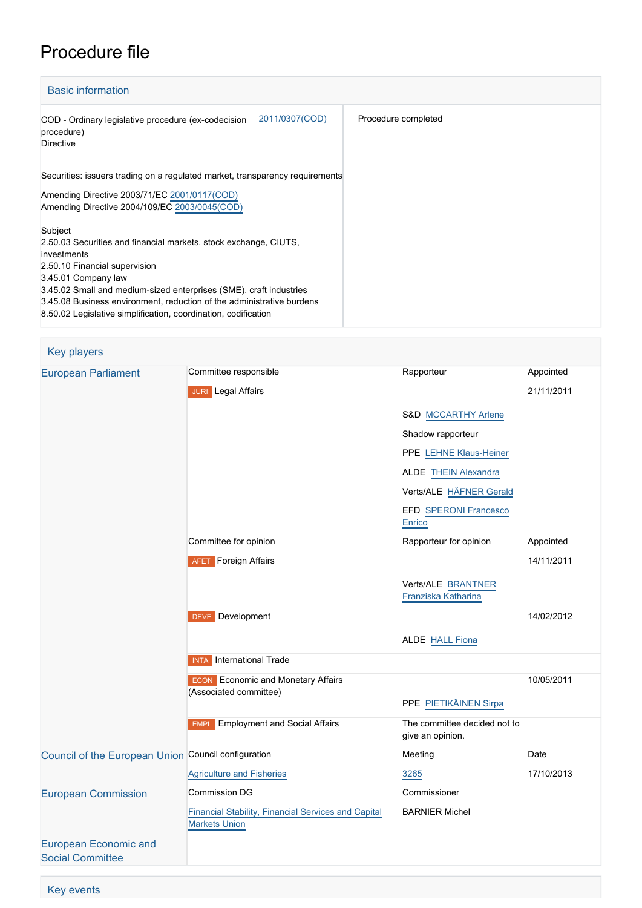# Procedure file

| <b>Basic information</b>                                                                                                                                                                                                                                                                                                                                            |                     |
|---------------------------------------------------------------------------------------------------------------------------------------------------------------------------------------------------------------------------------------------------------------------------------------------------------------------------------------------------------------------|---------------------|
| 2011/0307(COD)<br>COD - Ordinary legislative procedure (ex-codecision<br>procedure)<br><b>Directive</b>                                                                                                                                                                                                                                                             | Procedure completed |
| Securities: issuers trading on a regulated market, transparency requirements<br>Amending Directive 2003/71/EC 2001/0117(COD)<br>Amending Directive 2004/109/EC 2003/0045(COD)                                                                                                                                                                                       |                     |
| Subject<br>2.50.03 Securities and financial markets, stock exchange, CIUTS,<br>investments<br>2.50.10 Financial supervision<br>3.45.01 Company law<br>3.45.02 Small and medium-sized enterprises (SME), craft industries<br>3.45.08 Business environment, reduction of the administrative burdens<br>8.50.02 Legislative simplification, coordination, codification |                     |

| <b>Key players</b>                                      |                                                                             |                                                  |            |
|---------------------------------------------------------|-----------------------------------------------------------------------------|--------------------------------------------------|------------|
| <b>European Parliament</b>                              | Committee responsible                                                       | Rapporteur                                       | Appointed  |
|                                                         | <b>JURI</b> Legal Affairs                                                   |                                                  | 21/11/2011 |
|                                                         |                                                                             | S&D MCCARTHY Arlene                              |            |
|                                                         |                                                                             | Shadow rapporteur                                |            |
|                                                         |                                                                             | PPE LEHNE Klaus-Heiner                           |            |
|                                                         |                                                                             | <b>ALDE THEIN Alexandra</b>                      |            |
|                                                         |                                                                             | Verts/ALE HÄFNER Gerald                          |            |
|                                                         |                                                                             | EFD SPERONI Francesco<br>Enrico                  |            |
|                                                         | Committee for opinion                                                       | Rapporteur for opinion                           | Appointed  |
|                                                         | <b>AFET</b> Foreign Affairs                                                 |                                                  | 14/11/2011 |
|                                                         |                                                                             | Verts/ALE BRANTNER<br>Franziska Katharina        |            |
|                                                         | <b>DEVE</b> Development                                                     |                                                  | 14/02/2012 |
|                                                         |                                                                             | <b>ALDE HALL Fiona</b>                           |            |
|                                                         | <b>INTA</b> International Trade                                             |                                                  |            |
|                                                         | <b>ECON</b> Economic and Monetary Affairs                                   |                                                  | 10/05/2011 |
|                                                         | (Associated committee)                                                      | PPE PIETIKÄINEN Sirpa                            |            |
|                                                         | <b>Employment and Social Affairs</b><br><b>EMPL</b>                         | The committee decided not to<br>give an opinion. |            |
| Council of the European Union Council configuration     |                                                                             | Meeting                                          | Date       |
|                                                         | <b>Agriculture and Fisheries</b>                                            | 3265                                             | 17/10/2013 |
| <b>European Commission</b>                              | <b>Commission DG</b>                                                        | Commissioner                                     |            |
|                                                         | Financial Stability, Financial Services and Capital<br><b>Markets Union</b> | <b>BARNIER Michel</b>                            |            |
| <b>European Economic and</b><br><b>Social Committee</b> |                                                                             |                                                  |            |

Key events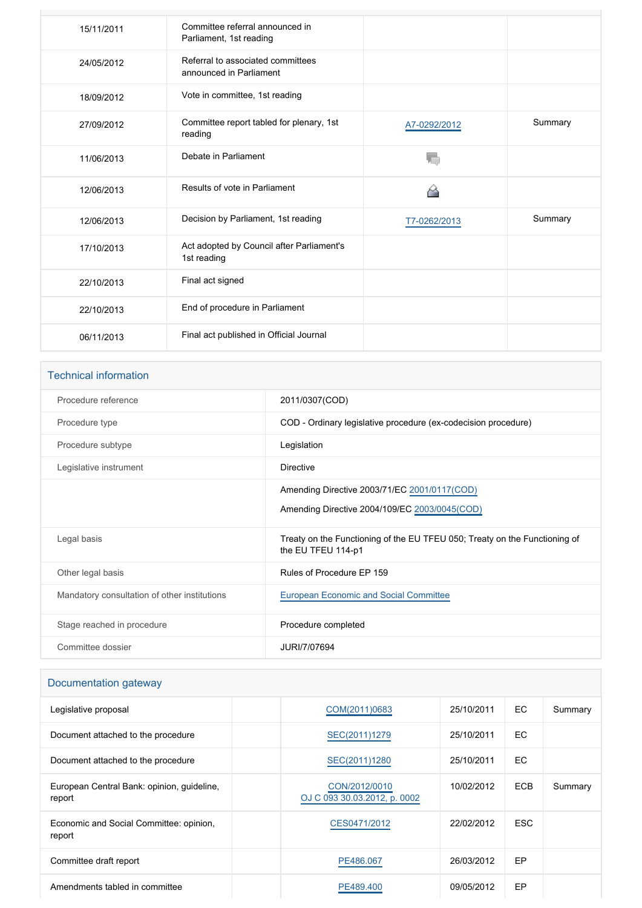| 15/11/2011 | Committee referral announced in<br>Parliament, 1st reading   |              |         |
|------------|--------------------------------------------------------------|--------------|---------|
| 24/05/2012 | Referral to associated committees<br>announced in Parliament |              |         |
| 18/09/2012 | Vote in committee, 1st reading                               |              |         |
| 27/09/2012 | Committee report tabled for plenary, 1st<br>reading          | A7-0292/2012 | Summary |
| 11/06/2013 | Debate in Parliament                                         |              |         |
| 12/06/2013 | Results of vote in Parliament                                | 6            |         |
| 12/06/2013 | Decision by Parliament, 1st reading                          | T7-0262/2013 | Summary |
| 17/10/2013 | Act adopted by Council after Parliament's<br>1st reading     |              |         |
| 22/10/2013 | Final act signed                                             |              |         |
| 22/10/2013 | End of procedure in Parliament                               |              |         |
| 06/11/2013 | Final act published in Official Journal                      |              |         |

### Technical information

| Procedure reference                          | 2011/0307(COD)                                                                                   |
|----------------------------------------------|--------------------------------------------------------------------------------------------------|
| Procedure type                               | COD - Ordinary legislative procedure (ex-codecision procedure)                                   |
| Procedure subtype                            | Legislation                                                                                      |
| Legislative instrument                       | Directive                                                                                        |
|                                              | Amending Directive 2003/71/EC 2001/0117(COD)<br>Amending Directive 2004/109/EC 2003/0045(COD)    |
| Legal basis                                  | Treaty on the Functioning of the EU TFEU 050; Treaty on the Functioning of<br>the EU TFEU 114-p1 |
| Other legal basis                            | Rules of Procedure EP 159                                                                        |
| Mandatory consultation of other institutions | European Economic and Social Committee                                                           |
| Stage reached in procedure                   | Procedure completed                                                                              |
| Committee dossier                            | JURI/7/07694                                                                                     |

## Documentation gateway

| Legislative proposal                                 | COM(2011)0683                                 | 25/10/2011 | EC.        | Summary |
|------------------------------------------------------|-----------------------------------------------|------------|------------|---------|
| Document attached to the procedure                   | SEC(2011)1279                                 | 25/10/2011 | EC.        |         |
| Document attached to the procedure                   | SEC(2011)1280                                 | 25/10/2011 | EC.        |         |
| European Central Bank: opinion, quideline,<br>report | CON/2012/0010<br>OJ C 093 30.03.2012, p. 0002 | 10/02/2012 | <b>ECB</b> | Summary |
| Economic and Social Committee: opinion,<br>report    | CES0471/2012                                  | 22/02/2012 | <b>ESC</b> |         |
| Committee draft report                               | PE486.067                                     | 26/03/2012 | EP         |         |
| Amendments tabled in committee                       | PE489,400                                     | 09/05/2012 | EP         |         |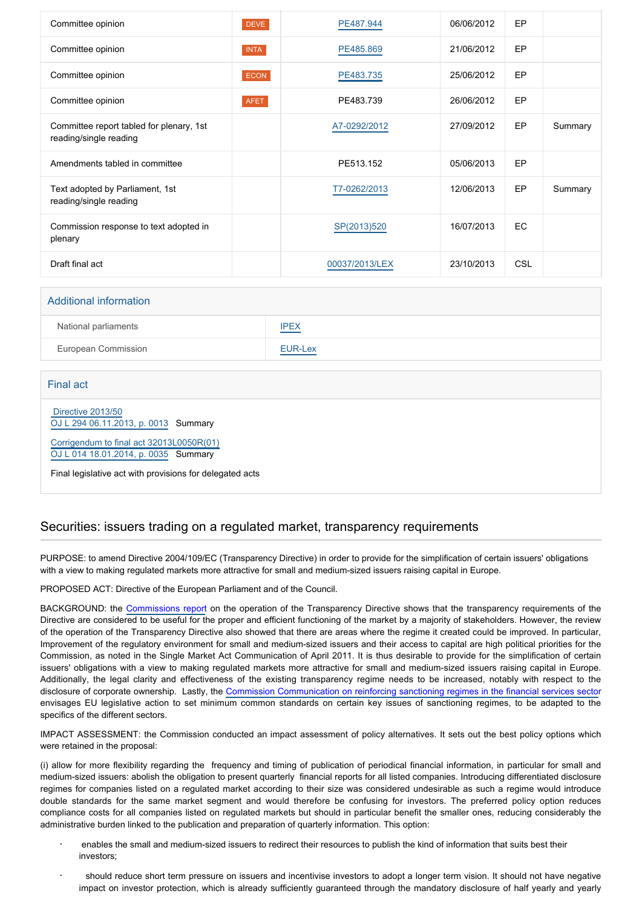| Committee opinion                                                  | <b>DEVE</b> | PE487.944      | 06/06/2012 | EP         |         |
|--------------------------------------------------------------------|-------------|----------------|------------|------------|---------|
| Committee opinion                                                  | <b>INTA</b> | PE485.869      | 21/06/2012 | EP         |         |
| Committee opinion                                                  | <b>ECON</b> | PE483.735      | 25/06/2012 | EP         |         |
| Committee opinion                                                  | <b>AFET</b> | PE483.739      | 26/06/2012 | EP         |         |
| Committee report tabled for plenary, 1st<br>reading/single reading |             | A7-0292/2012   | 27/09/2012 | EP         | Summary |
| Amendments tabled in committee                                     |             | PE513.152      | 05/06/2013 | EP         |         |
| Text adopted by Parliament, 1st<br>reading/single reading          |             | T7-0262/2013   | 12/06/2013 | EP         | Summary |
| Commission response to text adopted in<br>plenary                  |             | SP(2013)520    | 16/07/2013 | EC.        |         |
| Draft final act                                                    |             | 00037/2013/LEX | 23/10/2013 | <b>CSL</b> |         |

| <b>Additional information</b> |             |  |
|-------------------------------|-------------|--|
| National parliaments          | <b>IPEX</b> |  |
| European Commission           | EUR-Lex     |  |

Final act

 [Directive 2013/50](https://eur-lex.europa.eu/smartapi/cgi/sga_doc?smartapi!celexplus!prod!CELEXnumdoc&lg=EN&numdoc=32013L0050) [OJ L 294 06.11.2013, p. 0013](https://eur-lex.europa.eu/legal-content/EN/TXT/?uri=OJ:L:2013:294:TOC) Summary

[Corrigendum to final act 32013L0050R\(01\)](https://eur-lex.europa.eu/smartapi/cgi/sga_doc?smartapi!celexapi!prod!CELEXnumdoc&lg=EN&model=guicheti&numdoc=32013L0050R(01))

[OJ L 014 18.01.2014, p. 0035](https://eur-lex.europa.eu/legal-content/EN/TXT/?uri=OJ:L:2014:014:TOC) Summary

Final legislative act with provisions for delegated acts

#### Securities: issuers trading on a regulated market, transparency requirements

PURPOSE: to amend Directive 2004/109/EC (Transparency Directive) in order to provide for the simplification of certain issuers' obligations with a view to making regulated markets more attractive for small and medium-sized issuers raising capital in Europe.

PROPOSED ACT: Directive of the European Parliament and of the Council.

BACKGROUND: the [Commissions report](http://www.eur-lex.europa.eu/LexUriServ/LexUriServ.do?uri=COM:2010:0243:FIN:EN:PDF) on the operation of the Transparency Directive shows that the transparency requirements of the Directive are considered to be useful for the proper and efficient functioning of the market by a majority of stakeholders. However, the review of the operation of the Transparency Directive also showed that there are areas where the regime it created could be improved. In particular, Improvement of the regulatory environment for small and medium-sized issuers and their access to capital are high political priorities for the Commission, as noted in the Single Market Act Communication of April 2011. It is thus desirable to provide for the simplification of certain issuers' obligations with a view to making regulated markets more attractive for small and medium-sized issuers raising capital in Europe. Additionally, the legal clarity and effectiveness of the existing transparency regime needs to be increased, notably with respect to the disclosure of corporate ownership. Lastly, the [Commission Communication on reinforcing sanctioning regimes in the financial services secto](http://www.eur-lex.europa.eu/LexUriServ/LexUriServ.do?uri=COM:2010:0716:FIN:EN:PDF)r envisages EU legislative action to set minimum common standards on certain key issues of sanctioning regimes, to be adapted to the specifics of the different sectors.

IMPACT ASSESSMENT: the Commission conducted an impact assessment of policy alternatives. It sets out the best policy options which were retained in the proposal:

(i) allow for more flexibility regarding the frequency and timing of publication of periodical financial information, in particular for small and medium-sized issuers: abolish the obligation to present quarterly financial reports for all listed companies. Introducing differentiated disclosure regimes for companies listed on a regulated market according to their size was considered undesirable as such a regime would introduce double standards for the same market segment and would therefore be confusing for investors. The preferred policy option reduces compliance costs for all companies listed on regulated markets but should in particular benefit the smaller ones, reducing considerably the administrative burden linked to the publication and preparation of quarterly information. This option:

- enables the small and medium-sized issuers to redirect their resources to publish the kind of information that suits best their investors;
- should reduce short term pressure on issuers and incentivise investors to adopt a longer term vision. It should not have negative impact on investor protection, which is already sufficiently guaranteed through the mandatory disclosure of half yearly and yearly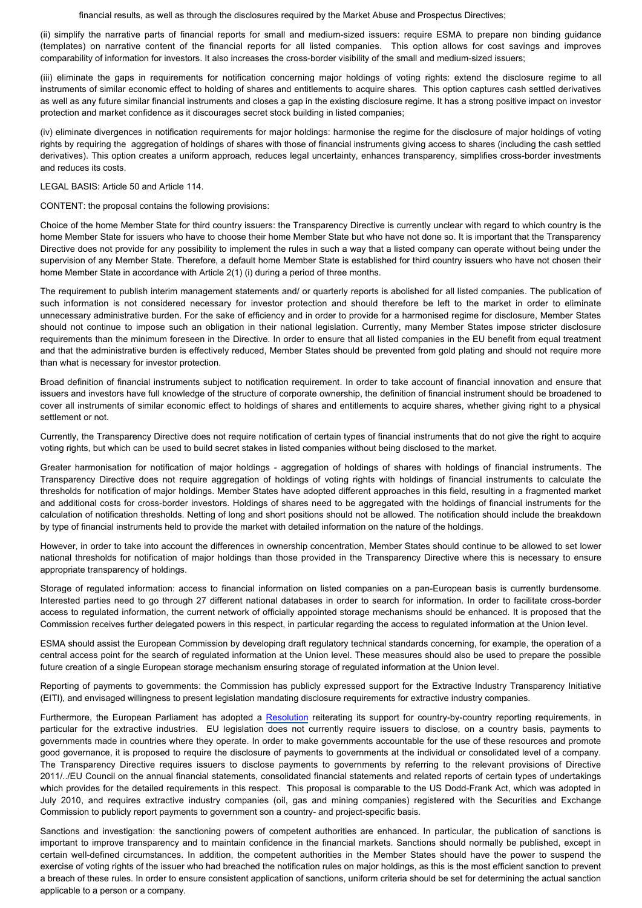financial results, as well as through the disclosures required by the Market Abuse and Prospectus Directives;

(ii) simplify the narrative parts of financial reports for small and medium-sized issuers: require ESMA to prepare non binding guidance (templates) on narrative content of the financial reports for all listed companies. This option allows for cost savings and improves comparability of information for investors. It also increases the cross-border visibility of the small and medium-sized issuers;

(iii) eliminate the gaps in requirements for notification concerning major holdings of voting rights: extend the disclosure regime to all instruments of similar economic effect to holding of shares and entitlements to acquire shares. This option captures cash settled derivatives as well as any future similar financial instruments and closes a gap in the existing disclosure regime. It has a strong positive impact on investor protection and market confidence as it discourages secret stock building in listed companies;

(iv) eliminate divergences in notification requirements for major holdings: harmonise the regime for the disclosure of major holdings of voting rights by requiring the aggregation of holdings of shares with those of financial instruments giving access to shares (including the cash settled derivatives). This option creates a uniform approach, reduces legal uncertainty, enhances transparency, simplifies cross-border investments and reduces its costs.

#### LEGAL BASIS: Article 50 and Article 114.

CONTENT: the proposal contains the following provisions:

Choice of the home Member State for third country issuers: the Transparency Directive is currently unclear with regard to which country is the home Member State for issuers who have to choose their home Member State but who have not done so. It is important that the Transparency Directive does not provide for any possibility to implement the rules in such a way that a listed company can operate without being under the supervision of any Member State. Therefore, a default home Member State is established for third country issuers who have not chosen their home Member State in accordance with Article 2(1) (i) during a period of three months.

The requirement to publish interim management statements and/ or quarterly reports is abolished for all listed companies. The publication of such information is not considered necessary for investor protection and should therefore be left to the market in order to eliminate unnecessary administrative burden. For the sake of efficiency and in order to provide for a harmonised regime for disclosure, Member States should not continue to impose such an obligation in their national legislation. Currently, many Member States impose stricter disclosure requirements than the minimum foreseen in the Directive. In order to ensure that all listed companies in the EU benefit from equal treatment and that the administrative burden is effectively reduced, Member States should be prevented from gold plating and should not require more than what is necessary for investor protection.

Broad definition of financial instruments subject to notification requirement. In order to take account of financial innovation and ensure that issuers and investors have full knowledge of the structure of corporate ownership, the definition of financial instrument should be broadened to cover all instruments of similar economic effect to holdings of shares and entitlements to acquire shares, whether giving right to a physical settlement or not.

Currently, the Transparency Directive does not require notification of certain types of financial instruments that do not give the right to acquire voting rights, but which can be used to build secret stakes in listed companies without being disclosed to the market.

Greater harmonisation for notification of major holdings - aggregation of holdings of shares with holdings of financial instruments. The Transparency Directive does not require aggregation of holdings of voting rights with holdings of financial instruments to calculate the thresholds for notification of major holdings. Member States have adopted different approaches in this field, resulting in a fragmented market and additional costs for cross-border investors. Holdings of shares need to be aggregated with the holdings of financial instruments for the calculation of notification thresholds. Netting of long and short positions should not be allowed. The notification should include the breakdown by type of financial instruments held to provide the market with detailed information on the nature of the holdings.

However, in order to take into account the differences in ownership concentration, Member States should continue to be allowed to set lower national thresholds for notification of major holdings than those provided in the Transparency Directive where this is necessary to ensure appropriate transparency of holdings.

Storage of regulated information: access to financial information on listed companies on a pan-European basis is currently burdensome. Interested parties need to go through 27 different national databases in order to search for information. In order to facilitate cross-border access to regulated information, the current network of officially appointed storage mechanisms should be enhanced. It is proposed that the Commission receives further delegated powers in this respect, in particular regarding the access to regulated information at the Union level.

ESMA should assist the European Commission by developing draft regulatory technical standards concerning, for example, the operation of a central access point for the search of regulated information at the Union level. These measures should also be used to prepare the possible future creation of a single European storage mechanism ensuring storage of regulated information at the Union level.

Reporting of payments to governments: the Commission has publicly expressed support for the Extractive Industry Transparency Initiative (EITI), and envisaged willingness to present legislation mandating disclosure requirements for extractive industry companies.

Furthermore, the European Parliament has adopted a [Resolution](http://www.europarl.europa.eu/oeil/popups/ficheprocedure.do?lang=EN&procnum=INI/2010/2102) reiterating its support for country-by-country reporting requirements, in particular for the extractive industries. EU legislation does not currently require issuers to disclose, on a country basis, payments to governments made in countries where they operate. In order to make governments accountable for the use of these resources and promote good governance, it is proposed to require the disclosure of payments to governments at the individual or consolidated level of a company. The Transparency Directive requires issuers to disclose payments to governments by referring to the relevant provisions of Directive 2011/../EU Council on the annual financial statements, consolidated financial statements and related reports of certain types of undertakings which provides for the detailed requirements in this respect. This proposal is comparable to the US Dodd-Frank Act, which was adopted in July 2010, and requires extractive industry companies (oil, gas and mining companies) registered with the Securities and Exchange Commission to publicly report payments to government son a country- and project-specific basis.

Sanctions and investigation: the sanctioning powers of competent authorities are enhanced. In particular, the publication of sanctions is important to improve transparency and to maintain confidence in the financial markets. Sanctions should normally be published, except in certain well-defined circumstances. In addition, the competent authorities in the Member States should have the power to suspend the exercise of voting rights of the issuer who had breached the notification rules on major holdings, as this is the most efficient sanction to prevent a breach of these rules. In order to ensure consistent application of sanctions, uniform criteria should be set for determining the actual sanction applicable to a person or a company.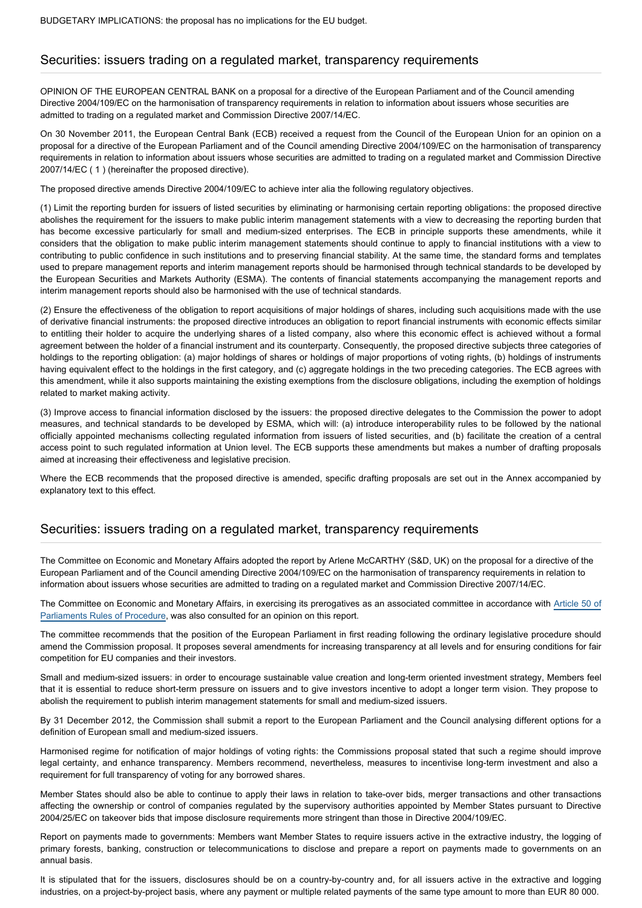#### Securities: issuers trading on a regulated market, transparency requirements

OPINION OF THE EUROPEAN CENTRAL BANK on a proposal for a directive of the European Parliament and of the Council amending Directive 2004/109/EC on the harmonisation of transparency requirements in relation to information about issuers whose securities are admitted to trading on a regulated market and Commission Directive 2007/14/EC.

On 30 November 2011, the European Central Bank (ECB) received a request from the Council of the European Union for an opinion on a proposal for a directive of the European Parliament and of the Council amending Directive 2004/109/EC on the harmonisation of transparency requirements in relation to information about issuers whose securities are admitted to trading on a regulated market and Commission Directive 2007/14/EC ( 1 ) (hereinafter the proposed directive).

The proposed directive amends Directive 2004/109/EC to achieve inter alia the following regulatory objectives.

(1) Limit the reporting burden for issuers of listed securities by eliminating or harmonising certain reporting obligations: the proposed directive abolishes the requirement for the issuers to make public interim management statements with a view to decreasing the reporting burden that has become excessive particularly for small and medium-sized enterprises. The ECB in principle supports these amendments, while it considers that the obligation to make public interim management statements should continue to apply to financial institutions with a view to contributing to public confidence in such institutions and to preserving financial stability. At the same time, the standard forms and templates used to prepare management reports and interim management reports should be harmonised through technical standards to be developed by the European Securities and Markets Authority (ESMA). The contents of financial statements accompanying the management reports and interim management reports should also be harmonised with the use of technical standards.

(2) Ensure the effectiveness of the obligation to report acquisitions of major holdings of shares, including such acquisitions made with the use of derivative financial instruments: the proposed directive introduces an obligation to report financial instruments with economic effects similar to entitling their holder to acquire the underlying shares of a listed company, also where this economic effect is achieved without a formal agreement between the holder of a financial instrument and its counterparty. Consequently, the proposed directive subjects three categories of holdings to the reporting obligation: (a) major holdings of shares or holdings of major proportions of voting rights, (b) holdings of instruments having equivalent effect to the holdings in the first category, and (c) aggregate holdings in the two preceding categories. The ECB agrees with this amendment, while it also supports maintaining the existing exemptions from the disclosure obligations, including the exemption of holdings related to market making activity.

(3) Improve access to financial information disclosed by the issuers: the proposed directive delegates to the Commission the power to adopt measures, and technical standards to be developed by ESMA, which will: (a) introduce interoperability rules to be followed by the national officially appointed mechanisms collecting regulated information from issuers of listed securities, and (b) facilitate the creation of a central access point to such regulated information at Union level. The ECB supports these amendments but makes a number of drafting proposals aimed at increasing their effectiveness and legislative precision.

Where the ECB recommends that the proposed directive is amended, specific drafting proposals are set out in the Annex accompanied by explanatory text to this effect.

#### Securities: issuers trading on a regulated market, transparency requirements

The Committee on Economic and Monetary Affairs adopted the report by Arlene McCARTHY (S&D, UK) on the proposal for a directive of the European Parliament and of the Council amending Directive 2004/109/EC on the harmonisation of transparency requirements in relation to information about issuers whose securities are admitted to trading on a regulated market and Commission Directive 2007/14/EC.

The Committee on Economic and Monetary Affairs, in exercising its prerogatives as an associated committee in accordance with [Article 50 of](http://www.europarl.europa.eu/sides/getDoc.do?pubRef=-//EP//TEXT+RULES-EP+20130204+RULE-050+DOC+XML+V0//FR&navigationBar=YES) [Parliaments Rules of Procedure,](http://www.europarl.europa.eu/sides/getDoc.do?pubRef=-//EP//TEXT+RULES-EP+20130204+RULE-050+DOC+XML+V0//FR&navigationBar=YES) was also consulted for an opinion on this report.

The committee recommends that the position of the European Parliament in first reading following the ordinary legislative procedure should amend the Commission proposal. It proposes several amendments for increasing transparency at all levels and for ensuring conditions for fair competition for EU companies and their investors.

Small and medium-sized issuers: in order to encourage sustainable value creation and long-term oriented investment strategy, Members feel that it is essential to reduce short-term pressure on issuers and to give investors incentive to adopt a longer term vision. They propose to abolish the requirement to publish interim management statements for small and medium-sized issuers.

By 31 December 2012, the Commission shall submit a report to the European Parliament and the Council analysing different options for a definition of European small and medium-sized issuers.

Harmonised regime for notification of major holdings of voting rights: the Commissions proposal stated that such a regime should improve legal certainty, and enhance transparency. Members recommend, nevertheless, measures to incentivise long-term investment and also a requirement for full transparency of voting for any borrowed shares.

Member States should also be able to continue to apply their laws in relation to take-over bids, merger transactions and other transactions affecting the ownership or control of companies regulated by the supervisory authorities appointed by Member States pursuant to Directive 2004/25/EC on takeover bids that impose disclosure requirements more stringent than those in Directive 2004/109/EC.

Report on payments made to governments: Members want Member States to require issuers active in the extractive industry, the logging of primary forests, banking, construction or telecommunications to disclose and prepare a report on payments made to governments on an annual basis.

It is stipulated that for the issuers, disclosures should be on a country-by-country and, for all issuers active in the extractive and logging industries, on a project-by-project basis, where any payment or multiple related payments of the same type amount to more than EUR 80 000.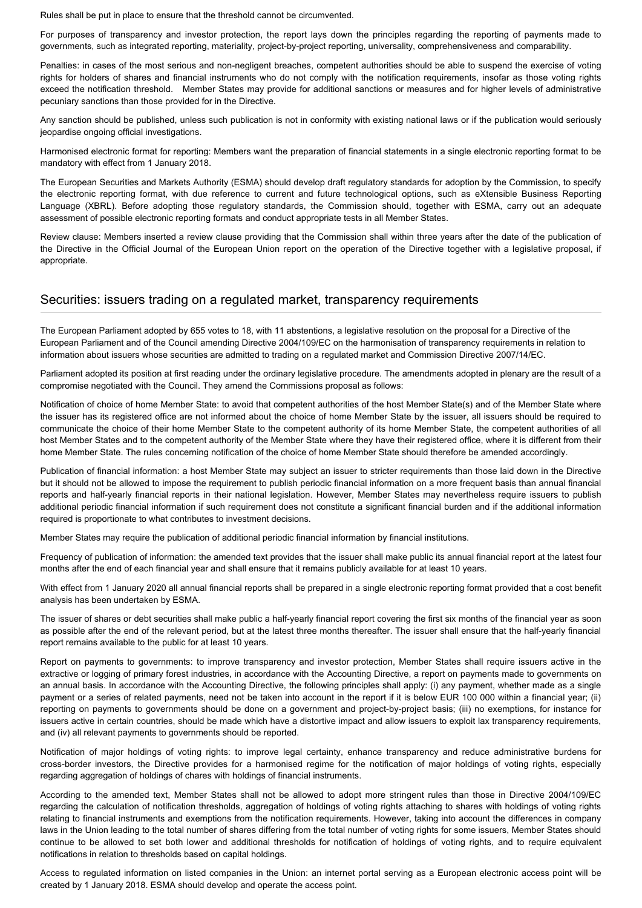Rules shall be put in place to ensure that the threshold cannot be circumvented.

For purposes of transparency and investor protection, the report lays down the principles regarding the reporting of payments made to governments, such as integrated reporting, materiality, project-by-project reporting, universality, comprehensiveness and comparability.

Penalties: in cases of the most serious and non-negligent breaches, competent authorities should be able to suspend the exercise of voting rights for holders of shares and financial instruments who do not comply with the notification requirements, insofar as those voting rights exceed the notification threshold. Member States may provide for additional sanctions or measures and for higher levels of administrative pecuniary sanctions than those provided for in the Directive.

Any sanction should be published, unless such publication is not in conformity with existing national laws or if the publication would seriously jeopardise ongoing official investigations.

Harmonised electronic format for reporting: Members want the preparation of financial statements in a single electronic reporting format to be mandatory with effect from 1 January 2018.

The European Securities and Markets Authority (ESMA) should develop draft regulatory standards for adoption by the Commission, to specify the electronic reporting format, with due reference to current and future technological options, such as eXtensible Business Reporting Language (XBRL). Before adopting those regulatory standards, the Commission should, together with ESMA, carry out an adequate assessment of possible electronic reporting formats and conduct appropriate tests in all Member States.

Review clause: Members inserted a review clause providing that the Commission shall within three years after the date of the publication of the Directive in the Official Journal of the European Union report on the operation of the Directive together with a legislative proposal, if appropriate.

#### Securities: issuers trading on a regulated market, transparency requirements

The European Parliament adopted by 655 votes to 18, with 11 abstentions, a legislative resolution on the proposal for a Directive of the European Parliament and of the Council amending Directive 2004/109/EC on the harmonisation of transparency requirements in relation to information about issuers whose securities are admitted to trading on a regulated market and Commission Directive 2007/14/EC.

Parliament adopted its position at first reading under the ordinary legislative procedure. The amendments adopted in plenary are the result of a compromise negotiated with the Council. They amend the Commissions proposal as follows:

Notification of choice of home Member State: to avoid that competent authorities of the host Member State(s) and of the Member State where the issuer has its registered office are not informed about the choice of home Member State by the issuer, all issuers should be required to communicate the choice of their home Member State to the competent authority of its home Member State, the competent authorities of all host Member States and to the competent authority of the Member State where they have their registered office, where it is different from their home Member State. The rules concerning notification of the choice of home Member State should therefore be amended accordingly.

Publication of financial information: a host Member State may subject an issuer to stricter requirements than those laid down in the Directive but it should not be allowed to impose the requirement to publish periodic financial information on a more frequent basis than annual financial reports and half-yearly financial reports in their national legislation. However, Member States may nevertheless require issuers to publish additional periodic financial information if such requirement does not constitute a significant financial burden and if the additional information required is proportionate to what contributes to investment decisions.

Member States may require the publication of additional periodic financial information by financial institutions.

Frequency of publication of information: the amended text provides that the issuer shall make public its annual financial report at the latest four months after the end of each financial year and shall ensure that it remains publicly available for at least 10 years.

With effect from 1 January 2020 all annual financial reports shall be prepared in a single electronic reporting format provided that a cost benefit analysis has been undertaken by ESMA.

The issuer of shares or debt securities shall make public a half-yearly financial report covering the first six months of the financial year as soon as possible after the end of the relevant period, but at the latest three months thereafter. The issuer shall ensure that the half-yearly financial report remains available to the public for at least 10 years.

Report on payments to governments: to improve transparency and investor protection, Member States shall require issuers active in the extractive or logging of primary forest industries, in accordance with the Accounting Directive, a report on payments made to governments on an annual basis. In accordance with the Accounting Directive, the following principles shall apply: (i) any payment, whether made as a single payment or a series of related payments, need not be taken into account in the report if it is below EUR 100 000 within a financial year; (ii) reporting on payments to governments should be done on a government and project-by-project basis; (iii) no exemptions, for instance for issuers active in certain countries, should be made which have a distortive impact and allow issuers to exploit lax transparency requirements, and (iv) all relevant payments to governments should be reported.

Notification of major holdings of voting rights: to improve legal certainty, enhance transparency and reduce administrative burdens for cross-border investors, the Directive provides for a harmonised regime for the notification of major holdings of voting rights, especially regarding aggregation of holdings of chares with holdings of financial instruments.

According to the amended text, Member States shall not be allowed to adopt more stringent rules than those in Directive 2004/109/EC regarding the calculation of notification thresholds, aggregation of holdings of voting rights attaching to shares with holdings of voting rights relating to financial instruments and exemptions from the notification requirements. However, taking into account the differences in company laws in the Union leading to the total number of shares differing from the total number of voting rights for some issuers, Member States should continue to be allowed to set both lower and additional thresholds for notification of holdings of voting rights, and to require equivalent notifications in relation to thresholds based on capital holdings.

Access to regulated information on listed companies in the Union: an internet portal serving as a European electronic access point will be created by 1 January 2018. ESMA should develop and operate the access point.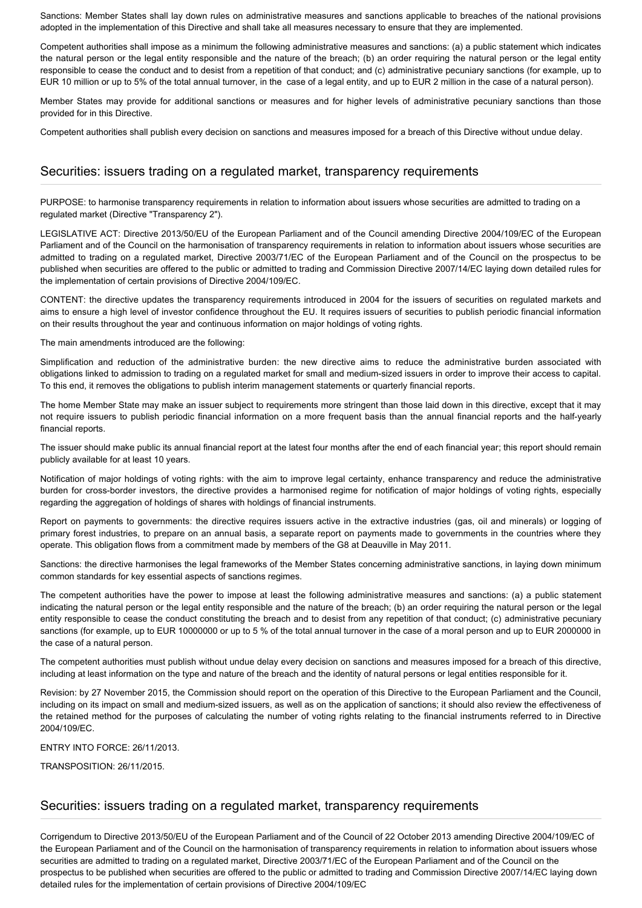Sanctions: Member States shall lay down rules on administrative measures and sanctions applicable to breaches of the national provisions adopted in the implementation of this Directive and shall take all measures necessary to ensure that they are implemented.

Competent authorities shall impose as a minimum the following administrative measures and sanctions: (a) a public statement which indicates the natural person or the legal entity responsible and the nature of the breach; (b) an order requiring the natural person or the legal entity responsible to cease the conduct and to desist from a repetition of that conduct; and (c) administrative pecuniary sanctions (for example, up to EUR 10 million or up to 5% of the total annual turnover, in the case of a legal entity, and up to EUR 2 million in the case of a natural person).

Member States may provide for additional sanctions or measures and for higher levels of administrative pecuniary sanctions than those provided for in this Directive.

Competent authorities shall publish every decision on sanctions and measures imposed for a breach of this Directive without undue delay.

#### Securities: issuers trading on a regulated market, transparency requirements

PURPOSE: to harmonise transparency requirements in relation to information about issuers whose securities are admitted to trading on a regulated market (Directive "Transparency 2").

LEGISLATIVE ACT: Directive 2013/50/EU of the European Parliament and of the Council amending Directive 2004/109/EC of the European Parliament and of the Council on the harmonisation of transparency requirements in relation to information about issuers whose securities are admitted to trading on a regulated market, Directive 2003/71/EC of the European Parliament and of the Council on the prospectus to be published when securities are offered to the public or admitted to trading and Commission Directive 2007/14/EC laying down detailed rules for the implementation of certain provisions of Directive 2004/109/EC.

CONTENT: the directive updates the transparency requirements introduced in 2004 for the issuers of securities on regulated markets and aims to ensure a high level of investor confidence throughout the EU. It requires issuers of securities to publish periodic financial information on their results throughout the year and continuous information on major holdings of voting rights.

The main amendments introduced are the following:

Simplification and reduction of the administrative burden: the new directive aims to reduce the administrative burden associated with obligations linked to admission to trading on a regulated market for small and medium-sized issuers in order to improve their access to capital. To this end, it removes the obligations to publish interim management statements or quarterly financial reports.

The home Member State may make an issuer subject to requirements more stringent than those laid down in this directive, except that it may not require issuers to publish periodic financial information on a more frequent basis than the annual financial reports and the half-yearly financial reports.

The issuer should make public its annual financial report at the latest four months after the end of each financial year; this report should remain publicly available for at least 10 years.

Notification of major holdings of voting rights: with the aim to improve legal certainty, enhance transparency and reduce the administrative burden for cross-border investors, the directive provides a harmonised regime for notification of major holdings of voting rights, especially regarding the aggregation of holdings of shares with holdings of financial instruments.

Report on payments to governments: the directive requires issuers active in the extractive industries (gas, oil and minerals) or logging of primary forest industries, to prepare on an annual basis, a separate report on payments made to governments in the countries where they operate. This obligation flows from a commitment made by members of the G8 at Deauville in May 2011.

Sanctions: the directive harmonises the legal frameworks of the Member States concerning administrative sanctions, in laying down minimum common standards for key essential aspects of sanctions regimes.

The competent authorities have the power to impose at least the following administrative measures and sanctions: (a) a public statement indicating the natural person or the legal entity responsible and the nature of the breach; (b) an order requiring the natural person or the legal entity responsible to cease the conduct constituting the breach and to desist from any repetition of that conduct; (c) administrative pecuniary sanctions (for example, up to EUR 10000000 or up to 5 % of the total annual turnover in the case of a moral person and up to EUR 2000000 in the case of a natural person.

The competent authorities must publish without undue delay every decision on sanctions and measures imposed for a breach of this directive, including at least information on the type and nature of the breach and the identity of natural persons or legal entities responsible for it.

Revision: by 27 November 2015, the Commission should report on the operation of this Directive to the European Parliament and the Council, including on its impact on small and medium-sized issuers, as well as on the application of sanctions; it should also review the effectiveness of the retained method for the purposes of calculating the number of voting rights relating to the financial instruments referred to in Directive 2004/109/EC.

ENTRY INTO FORCE: 26/11/2013.

TRANSPOSITION: 26/11/2015.

#### Securities: issuers trading on a regulated market, transparency requirements

Corrigendum to Directive 2013/50/EU of the European Parliament and of the Council of 22 October 2013 amending Directive 2004/109/EC of the European Parliament and of the Council on the harmonisation of transparency requirements in relation to information about issuers whose securities are admitted to trading on a regulated market, Directive 2003/71/EC of the European Parliament and of the Council on the prospectus to be published when securities are offered to the public or admitted to trading and Commission Directive 2007/14/EC laying down detailed rules for the implementation of certain provisions of Directive 2004/109/EC